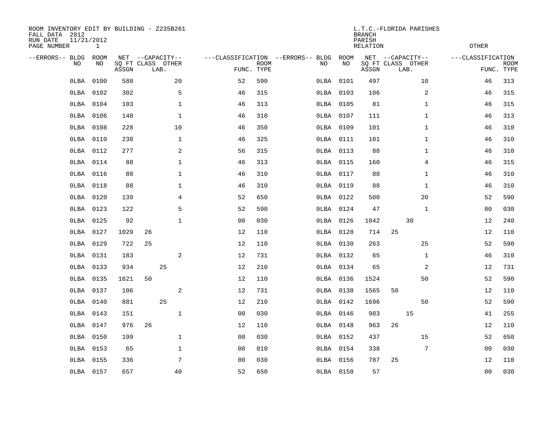| ROOM INVENTORY EDIT BY BUILDING - Z235B261<br>FALL DATA 2012<br>RUN DATE<br>11/21/2012<br>PAGE NUMBER<br>1 |                   |       |                           |                  | L.T.C.-FLORIDA PARISHES<br><b>BRANCH</b><br>PARISH<br>RELATION |             |                                          |             |       |                                               |                   | <b>OTHER</b>              |  |  |
|------------------------------------------------------------------------------------------------------------|-------------------|-------|---------------------------|------------------|----------------------------------------------------------------|-------------|------------------------------------------|-------------|-------|-----------------------------------------------|-------------------|---------------------------|--|--|
| --ERRORS-- BLDG<br>NO.                                                                                     | <b>ROOM</b><br>NO | ASSGN | SQ FT CLASS OTHER<br>LAB. | NET --CAPACITY-- | FUNC. TYPE                                                     | <b>ROOM</b> | ---CLASSIFICATION --ERRORS-- BLDG<br>NO. | ROOM<br>NO. | ASSGN | NET --CAPACITY--<br>SQ FT CLASS OTHER<br>LAB. | ---CLASSIFICATION | <b>ROOM</b><br>FUNC. TYPE |  |  |
| 0LBA                                                                                                       | 0100              | 588   |                           | 20               | 52                                                             | 590         | 0LBA                                     | 0101        | 497   | 10                                            | 46                | 313                       |  |  |
| 0LBA                                                                                                       | 0102              | 302   |                           | 5                | 46                                                             | 315         |                                          | OLBA 0103   | 106   | 2                                             | 46                | 315                       |  |  |
| 0LBA                                                                                                       | 0104              | 103   |                           | $\mathbf{1}$     | 46                                                             | 313         |                                          | OLBA 0105   | 81    | $\mathbf{1}$                                  | 46                | 315                       |  |  |
| OLBA                                                                                                       | 0106              | 148   |                           | $\mathbf{1}$     | 46                                                             | 310         |                                          | 0LBA 0107   | 111   | $\mathbf{1}$                                  | 46                | 313                       |  |  |
| OLBA                                                                                                       | 0108              | 228   |                           | 10               | 46                                                             | 350         |                                          | 0LBA 0109   | 101   | $\mathbf{1}$                                  | 46                | 310                       |  |  |
| OLBA                                                                                                       | 0110              | 238   |                           | $\mathbf 1$      | 46                                                             | 325         |                                          | 0LBA 0111   | 101   | $\mathbf{1}$                                  | 46                | 310                       |  |  |
| OLBA                                                                                                       | 0112              | 277   |                           | 2                | 56                                                             | 315         |                                          | OLBA 0113   | 88    | $\mathbf{1}$                                  | 46                | 310                       |  |  |
| OLBA                                                                                                       | 0114              | 88    |                           | 1                | 46                                                             | 313         |                                          | OLBA 0115   | 160   | 4                                             | 46                | 315                       |  |  |
| 0LBA                                                                                                       | 0116              | 88    |                           | $\mathbf 1$      | 46                                                             | 310         |                                          | OLBA 0117   | 88    | $\mathbf{1}$                                  | 46                | 310                       |  |  |
| OLBA                                                                                                       | 0118              | 88    |                           | $\mathbf 1$      | 46                                                             | 310         |                                          | OLBA 0119   | 88    | $\mathbf{1}$                                  | 46                | 310                       |  |  |
| OLBA                                                                                                       | 0120              | 139   |                           | 4                | 52                                                             | 650         |                                          | 0LBA 0122   | 500   | 20                                            | 52                | 590                       |  |  |
| OLBA                                                                                                       | 0123              | 122   |                           | 5                | 52                                                             | 590         |                                          | OLBA 0124   | 47    | $\mathbf{1}$                                  | 00                | 030                       |  |  |
| OLBA                                                                                                       | 0125              | 92    |                           | $\mathbf{1}$     | 0 <sub>0</sub>                                                 | 030         |                                          | 0LBA 0126   | 1042  | 30                                            | 12                | 240                       |  |  |
| OLBA                                                                                                       | 0127              | 1029  | 26                        |                  | 12                                                             | 110         |                                          | OLBA 0128   | 714   | 25                                            | 12                | 110                       |  |  |
| OLBA                                                                                                       | 0129              | 722   | 25                        |                  | 12                                                             | 110         |                                          | OLBA 0130   | 263   | 25                                            | 52                | 590                       |  |  |
| OLBA                                                                                                       | 0131              | 183   |                           | 2                | 12                                                             | 731         |                                          | OLBA 0132   | 65    | $\mathbf{1}$                                  | 46                | 310                       |  |  |
| 0LBA                                                                                                       | 0133              | 934   |                           | 25               | 12                                                             | 210         |                                          | OLBA 0134   | 65    | 2                                             | 12                | 731                       |  |  |
| OLBA                                                                                                       | 0135              | 1621  | 50                        |                  | 12                                                             | 110         |                                          | OLBA 0136   | 1524  | 50                                            | 52                | 590                       |  |  |
| OLBA                                                                                                       | 0137              | 106   |                           | 2                | 12                                                             | 731         |                                          | OLBA 0138   | 1565  | 50                                            | 12                | 110                       |  |  |
| OLBA                                                                                                       | 0140              | 881   |                           | 25               | 12                                                             | 210         |                                          | OLBA 0142   | 1696  | 50                                            | 52                | 590                       |  |  |
| 0LBA                                                                                                       | 0143              | 151   |                           | $\mathbf{1}$     | 0 <sub>0</sub>                                                 | 030         |                                          | OLBA 0146   | 983   | 15                                            | 41                | 255                       |  |  |
| 0LBA                                                                                                       | 0147              | 976   | 26                        |                  | 12                                                             | 110         |                                          | OLBA 0148   | 963   | 26                                            | 12                | 110                       |  |  |
| 0LBA                                                                                                       | 0150              | 199   |                           | $\mathbf 1$      | 0 <sub>0</sub>                                                 | 030         |                                          | OLBA 0152   | 437   | 15                                            | 52                | 650                       |  |  |
| OLBA                                                                                                       | 0153              | 65    |                           | 1                | 00                                                             | 010         |                                          | OLBA 0154   | 338   | 7                                             | 00                | 030                       |  |  |
| 0LBA                                                                                                       | 0155              | 336   |                           | 7                | 0 <sub>0</sub>                                                 | 030         |                                          | OLBA 0156   | 787   | 25                                            | 12                | 110                       |  |  |
|                                                                                                            | OLBA 0157         | 657   |                           | 40               | 52                                                             | 650         |                                          | OLBA 0158   | 57    |                                               | 00                | 030                       |  |  |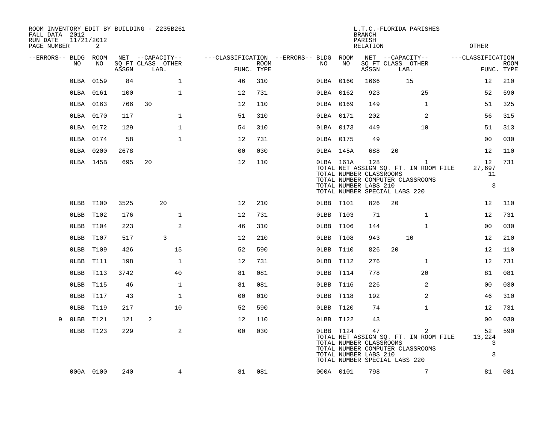| ROOM INVENTORY EDIT BY BUILDING - Z235B261<br>FALL DATA 2012<br>RUN DATE<br>11/21/2012<br>PAGE NUMBER | 2         |       |                                               |                                        |                    |           |           | <b>BRANCH</b><br>PARISH<br>RELATION                     |                               | L.T.C.-FLORIDA PARISHES                                                                   | <b>OTHER</b>            |                           |
|-------------------------------------------------------------------------------------------------------|-----------|-------|-----------------------------------------------|----------------------------------------|--------------------|-----------|-----------|---------------------------------------------------------|-------------------------------|-------------------------------------------------------------------------------------------|-------------------------|---------------------------|
| --ERRORS-- BLDG ROOM<br>NO.                                                                           | NO        | ASSGN | NET --CAPACITY--<br>SQ FT CLASS OTHER<br>LAB. | ---CLASSIFICATION --ERRORS-- BLDG ROOM | ROOM<br>FUNC. TYPE | NO        | NO        | ASSGN                                                   | SQ FT CLASS OTHER<br>LAB.     | NET --CAPACITY--                                                                          | ---CLASSIFICATION       | <b>ROOM</b><br>FUNC. TYPE |
|                                                                                                       | OLBA 0159 | 84    | $\mathbf 1$                                   | 46                                     | 310                | OLBA 0160 |           | 1666                                                    |                               | 15                                                                                        | 12                      | 210                       |
|                                                                                                       | OLBA 0161 | 100   | $\mathbf 1$                                   | 12                                     | 731                | OLBA 0162 |           | 923                                                     |                               | 25                                                                                        | 52                      | 590                       |
|                                                                                                       | OLBA 0163 | 766   | 30                                            | 12                                     | 110                | OLBA 0169 |           | 149                                                     |                               | $\mathbf{1}$                                                                              | 51                      | 325                       |
|                                                                                                       | OLBA 0170 | 117   | $\mathbf{1}$                                  | 51                                     | 310                | OLBA 0171 |           | 202                                                     |                               | 2                                                                                         | 56                      | 315                       |
|                                                                                                       | OLBA 0172 | 129   | $\mathbf{1}$                                  | 54                                     | 310                | OLBA 0173 |           | 449                                                     |                               | 10                                                                                        | 51                      | 313                       |
|                                                                                                       | OLBA 0174 | 58    | $\mathbf{1}$                                  | 12                                     | 731                | OLBA 0175 |           | 49                                                      |                               |                                                                                           | 0 <sub>0</sub>          | 030                       |
|                                                                                                       | 0LBA 0200 | 2678  |                                               | 0 <sub>0</sub>                         | 030                |           | OLBA 145A | 688                                                     | 20                            |                                                                                           | 12                      | 110                       |
|                                                                                                       | OLBA 145B | 695   | 20                                            | 12                                     | 110                |           | 0LBA 161A | 128<br>TOTAL NUMBER CLASSROOMS<br>TOTAL NUMBER LABS 210 | TOTAL NUMBER SPECIAL LABS 220 | $\mathbf{1}$<br>TOTAL NET ASSIGN SQ. FT. IN ROOM FILE<br>TOTAL NUMBER COMPUTER CLASSROOMS | 12<br>27,697<br>11<br>3 | 731                       |
|                                                                                                       | OLBB T100 | 3525  | 20                                            | 12                                     | 210                | OLBB T101 |           | 826                                                     | 20                            |                                                                                           | 12                      | 110                       |
|                                                                                                       | OLBB T102 | 176   | $\mathbf 1$                                   | 12                                     | 731                | OLBB T103 |           | 71                                                      |                               | $\mathbf{1}$                                                                              | 12                      | 731                       |
|                                                                                                       | OLBB T104 | 223   | 2                                             | 46                                     | 310                | OLBB T106 |           | 144                                                     |                               | $\mathbf{1}$                                                                              | 0 <sub>0</sub>          | 030                       |
|                                                                                                       | OLBB T107 | 517   | 3                                             | 12                                     | 210                | OLBB T108 |           | 943                                                     |                               | 10                                                                                        | 12                      | 210                       |
|                                                                                                       | OLBB T109 | 426   | 15                                            | 52                                     | 590                | OLBB T110 |           | 826                                                     | 20                            |                                                                                           | 12                      | 110                       |
|                                                                                                       | OLBB T111 | 198   | $\mathbf 1$                                   | 12                                     | 731                | OLBB T112 |           | 276                                                     |                               | $\mathbf{1}$                                                                              | 12                      | 731                       |
| $0$ LBB                                                                                               | T113      | 3742  | 40                                            | 81                                     | 081                | OLBB T114 |           | 778                                                     |                               | 20                                                                                        | 81                      | 081                       |
| $0$ LBB                                                                                               | T115      | 46    | $\mathbf{1}$                                  | 81                                     | 081                | OLBB T116 |           | 226                                                     |                               | 2                                                                                         | 0 <sub>0</sub>          | 030                       |
| $0$ LBB                                                                                               | T117      | 43    | $\mathbf 1$                                   | 00                                     | 010                | OLBB T118 |           | 192                                                     |                               | 2                                                                                         | 46                      | 310                       |
| $0$ LBB                                                                                               | T119      | 217   | 10                                            | 52                                     | 590                | OLBB T120 |           | 74                                                      |                               | $\mathbf{1}$                                                                              | 12                      | 731                       |
| $0$ LBB<br>9                                                                                          | T121      | 121   | 2                                             | 12                                     | 110                | OLBB T122 |           | 43                                                      |                               |                                                                                           | 0 <sub>0</sub>          | 030                       |
|                                                                                                       | OLBB T123 | 229   | 2                                             | 0 <sub>0</sub>                         | 030                | OLBB T124 |           | 47<br>TOTAL NUMBER CLASSROOMS<br>TOTAL NUMBER LABS 210  | TOTAL NUMBER SPECIAL LABS 220 | 2<br>TOTAL NET ASSIGN SQ. FT. IN ROOM FILE<br>TOTAL NUMBER COMPUTER CLASSROOMS            | 52<br>13,224<br>3<br>3  | 590                       |
|                                                                                                       | 000A 0100 | 240   | 4                                             | 81                                     | 081                | 000A 0101 |           | 798                                                     |                               | $7\overline{ }$                                                                           | 81                      | 081                       |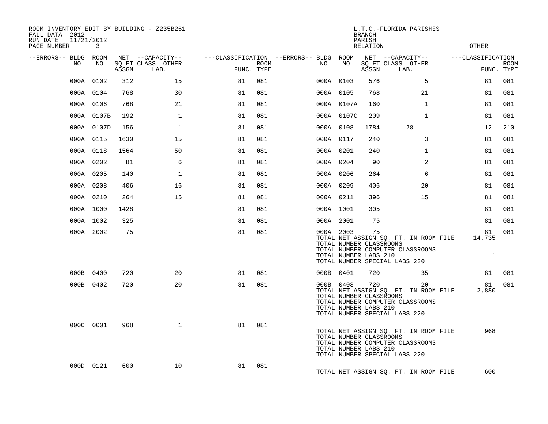| ROOM INVENTORY EDIT BY BUILDING - Z235B261<br>FALL DATA 2012<br>RUN DATE<br>11/21/2012 |            |       |                           |            |      |                                        |            | <b>BRANCH</b><br>PARISH                                 | L.T.C.-FLORIDA PARISHES                                                                                          |                              |                           |
|----------------------------------------------------------------------------------------|------------|-------|---------------------------|------------|------|----------------------------------------|------------|---------------------------------------------------------|------------------------------------------------------------------------------------------------------------------|------------------------------|---------------------------|
| PAGE NUMBER                                                                            | 3          |       |                           |            |      |                                        |            | RELATION                                                |                                                                                                                  | <b>OTHER</b>                 |                           |
| --ERRORS-- BLDG ROOM                                                                   |            |       | NET --CAPACITY--          |            |      | ---CLASSIFICATION --ERRORS-- BLDG ROOM |            |                                                         | NET --CAPACITY--                                                                                                 | ---CLASSIFICATION            |                           |
| NO.                                                                                    | NO         | ASSGN | SQ FT CLASS OTHER<br>LAB. | FUNC. TYPE | ROOM | NO.                                    | NO         | ASSGN                                                   | SQ FT CLASS OTHER<br>LAB.                                                                                        |                              | <b>ROOM</b><br>FUNC. TYPE |
|                                                                                        | 000A 0102  | 312   | 15                        | 81         | 081  |                                        | 000A 0103  | 576                                                     | 5                                                                                                                | 81                           | 081                       |
|                                                                                        | 000A 0104  | 768   | 30                        | 81         | 081  |                                        | 000A 0105  | 768                                                     | 21                                                                                                               | 81                           | 081                       |
|                                                                                        | 000A 0106  | 768   | 21                        | 81         | 081  |                                        | 000A 0107A | 160                                                     | $\mathbf{1}$                                                                                                     | 81                           | 081                       |
|                                                                                        | 000A 0107B | 192   | $\mathbf 1$               | 81         | 081  |                                        | 000A 0107C | 209                                                     | $\mathbf{1}$                                                                                                     | 81                           | 081                       |
|                                                                                        | 000A 0107D | 156   | $\mathbf{1}$              | 81         | 081  |                                        | 000A 0108  | 1784                                                    | 28                                                                                                               | 12                           | 210                       |
|                                                                                        | 000A 0115  | 1630  | 15                        | 81         | 081  |                                        | 000A 0117  | 240                                                     | 3                                                                                                                | 81                           | 081                       |
|                                                                                        | 000A 0118  | 1564  | 50                        | 81         | 081  |                                        | 000A 0201  | 240                                                     | $\mathbf{1}$                                                                                                     | 81                           | 081                       |
|                                                                                        | 000A 0202  | 81    | 6                         | 81         | 081  |                                        | 000A 0204  | 90                                                      | 2                                                                                                                | 81                           | 081                       |
|                                                                                        | 000A 0205  | 140   | $\mathbf{1}$              | 81         | 081  |                                        | 000A 0206  | 264                                                     | 6                                                                                                                | 81                           | 081                       |
|                                                                                        | 000A 0208  | 406   | 16                        | 81         | 081  |                                        | 000A 0209  | 406                                                     | 20                                                                                                               | 81                           | 081                       |
|                                                                                        | 000A 0210  | 264   | 15                        | 81         | 081  |                                        | 000A 0211  | 396                                                     | 15                                                                                                               | 81                           | 081                       |
|                                                                                        | 000A 1000  | 1428  |                           | 81         | 081  |                                        | 000A 1001  | 305                                                     |                                                                                                                  | 81                           | 081                       |
|                                                                                        | 000A 1002  | 325   |                           | 81         | 081  |                                        | 000A 2001  | 75                                                      |                                                                                                                  | 81                           | 081                       |
|                                                                                        | 000A 2002  | 75    |                           | 81         | 081  |                                        | 000A 2003  | 75<br>TOTAL NUMBER CLASSROOMS<br>TOTAL NUMBER LABS 210  | TOTAL NET ASSIGN SQ. FT. IN ROOM FILE<br>TOTAL NUMBER COMPUTER CLASSROOMS<br>TOTAL NUMBER SPECIAL LABS 220       | 81<br>14,735<br>$\mathbf{1}$ | 081                       |
|                                                                                        | 000B 0400  | 720   | 20                        | 81         | 081  |                                        | 000B 0401  | 720                                                     | 35                                                                                                               | 81                           | 081                       |
|                                                                                        | 000B 0402  | 720   | 20                        | 81         | 081  |                                        | 000B 0403  | 720<br>TOTAL NUMBER CLASSROOMS<br>TOTAL NUMBER LABS 210 | 20<br>TOTAL NET ASSIGN SQ. FT. IN ROOM FILE<br>TOTAL NUMBER COMPUTER CLASSROOMS<br>TOTAL NUMBER SPECIAL LABS 220 | 81<br>2,880                  | 081                       |
|                                                                                        | 000C 0001  | 968   | $\mathbf{1}$              | 81         | 081  |                                        |            | TOTAL NUMBER CLASSROOMS<br>TOTAL NUMBER LABS 210        | TOTAL NET ASSIGN SQ. FT. IN ROOM FILE<br>TOTAL NUMBER COMPUTER CLASSROOMS<br>TOTAL NUMBER SPECIAL LABS 220       | 968                          |                           |
|                                                                                        | 000D 0121  | 600   | 10                        | 81         | 081  |                                        |            |                                                         | TOTAL NET ASSIGN SQ. FT. IN ROOM FILE                                                                            | 600                          |                           |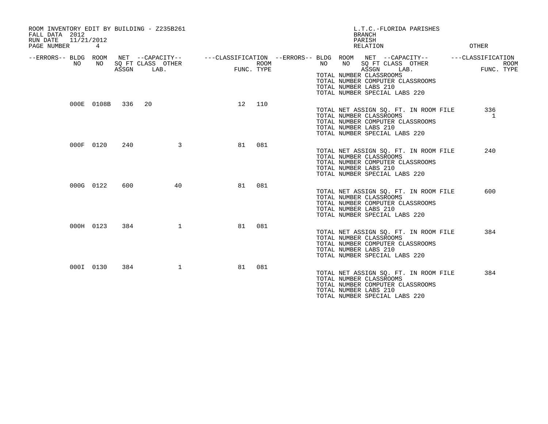| ROOM INVENTORY EDIT BY BUILDING - Z235B261<br>FALL DATA 2012<br>RUN DATE<br>11/21/2012<br>PAGE NUMBER | 4          |       |                           |            |      |                             | L.T.C.-FLORIDA PARISHES<br><b>BRANCH</b><br>PARISH<br>RELATION                                                                                                                                                       | OTHER                                          |
|-------------------------------------------------------------------------------------------------------|------------|-------|---------------------------|------------|------|-----------------------------|----------------------------------------------------------------------------------------------------------------------------------------------------------------------------------------------------------------------|------------------------------------------------|
| --ERRORS-- BLDG ROOM<br>NO                                                                            | NO         | ASSGN | SQ FT CLASS OTHER<br>LAB. | FUNC. TYPE | ROOM | NO<br>TOTAL NUMBER LABS 210 | NET --CAPACITY--    ---CLASSIFICATION --ERRORS-- BLDG ROOM NET --CAPACITY--<br>NO SQ FT CLASS OTHER<br>ASSGN<br>LAB.<br>TOTAL NUMBER CLASSROOMS<br>TOTAL NUMBER COMPUTER CLASSROOMS<br>TOTAL NUMBER SPECIAL LABS 220 | ---CLASSIFICATION<br><b>ROOM</b><br>FUNC. TYPE |
|                                                                                                       | 000E 0108B | 336   | 20                        | 12         | 110  | TOTAL NUMBER LABS 210       | TOTAL NET ASSIGN SO. FT. IN ROOM FILE<br>TOTAL NUMBER CLASSROOMS<br>TOTAL NUMBER COMPUTER CLASSROOMS<br>TOTAL NUMBER SPECIAL LABS 220                                                                                | 336<br>1                                       |
|                                                                                                       | 000F 0120  | 240   | 3                         | 81         | 081  | TOTAL NUMBER LABS 210       | TOTAL NET ASSIGN SQ. FT. IN ROOM FILE<br>TOTAL NUMBER CLASSROOMS<br>TOTAL NUMBER COMPUTER CLASSROOMS<br>TOTAL NUMBER SPECIAL LABS 220                                                                                | 240                                            |
|                                                                                                       | 000G 0122  | 600   | 40                        | 81         | 081  | TOTAL NUMBER LABS 210       | TOTAL NET ASSIGN SQ. FT. IN ROOM FILE<br>TOTAL NUMBER CLASSROOMS<br>TOTAL NUMBER COMPUTER CLASSROOMS<br>TOTAL NUMBER SPECIAL LABS 220                                                                                | 600                                            |
|                                                                                                       | 000H 0123  | 384   | $\mathbf{1}$              | 81         | 081  | TOTAL NUMBER LABS 210       | TOTAL NET ASSIGN SQ. FT. IN ROOM FILE<br>TOTAL NUMBER CLASSROOMS<br>TOTAL NUMBER COMPUTER CLASSROOMS<br>TOTAL NUMBER SPECIAL LABS 220                                                                                | 384                                            |
|                                                                                                       | 000I 0130  | 384   | $\mathbf 1$               | 81         | 081  | TOTAL NUMBER LABS 210       | TOTAL NET ASSIGN SQ. FT. IN ROOM FILE<br>TOTAL NUMBER CLASSROOMS<br>TOTAL NUMBER COMPUTER CLASSROOMS<br>TOTAL NUMBER SPECIAL LABS 220                                                                                | 384                                            |